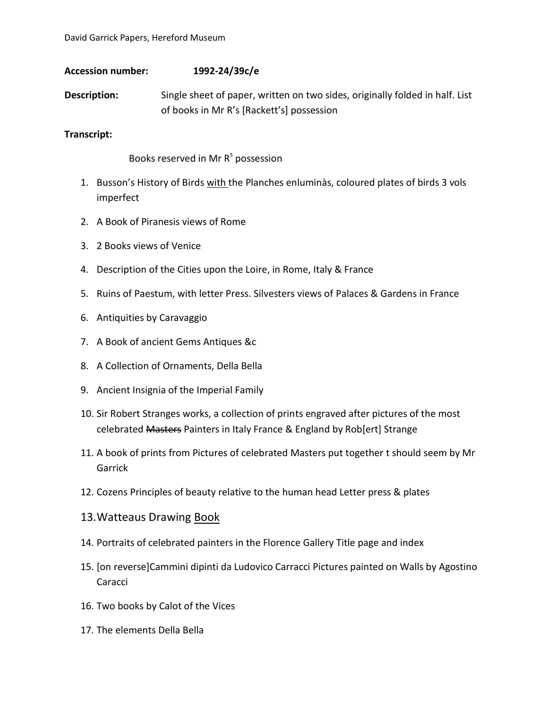## **Accession number: 1992-24/39c/e**

**Description:** Single sheet of paper, written on two sides, originally folded in half. List of books in Mr R's [Rackett's] possession

## **Transcript:**

Books reserved in Mr R<sup>s</sup> possession

- 1. Busson's History of Birds with the Planches enluminàs, coloured plates of birds 3 vols imperfect
- 2. A Book of Piranesis views of Rome
- 3. 2 Books views of Venice
- 4. Description of the Cities upon the Loire, in Rome, Italy & France
- 5. Ruins of Paestum, with letter Press. Silvesters views of Palaces & Gardens in France
- 6. Antiquities by Caravaggio
- 7. A Book of ancient Gems Antiques &c
- 8. A Collection of Ornaments, Della Bella
- 9. Ancient Insignia of the Imperial Family
- 10. Sir Robert Stranges works, a collection of prints engraved after pictures of the most celebrated Masters Painters in Italy France & England by Rob[ert] Strange
- 11. A book of prints from Pictures of celebrated Masters put together t should seem by Mr Garrick
- 12. Cozens Principles of beauty relative to the human head Letter press & plates
- 13.Watteaus Drawing Book
- 14. Portraits of celebrated painters in the Florence Gallery Title page and index
- 15. [on reverse]Cammini dipinti da Ludovico Carracci Pictures painted on Walls by Agostino Caracci
- 16. Two books by Calot of the Vices
- 17. The elements Della Bella